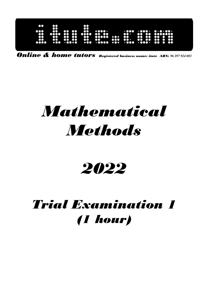| 80<br>8<br>ះ<br>$\bullet\bullet$<br>$\cdots$<br>$\bullet\bullet$<br>$\bullet\bullet$<br><br><br>$\bullet\bullet\bullet\bullet$<br>$\bullet$<br>$\bullet\bullet\bullet\bullet$<br><br>$\bullet\bullet$<br>$\bullet\bullet\bullet$<br><br>$\bullet \bullet$<br>8<br>$\bullet$<br>$\bullet$<br>$\bullet$<br><br>$\bullet\bullet$<br>$\bullet$<br>$\mathbf{a}$<br>$\mathbf{m}$<br>$\bullet\bullet$<br>$\bullet$<br>$\overline{\mathbf{C}}$<br>$\mathbf{C}$<br>$\bullet\bullet\bullet$<br>$\bullet\bullet$<br>$\mathbf{C}$<br>$\bullet$<br>œ<br>80<br><br>$+0000$ $+00$ $+000$<br>$\bullet\bullet\bullet$<br>$\cdots$<br>$\bullet$<br>aoo<br>. 0000 |
|------------------------------------------------------------------------------------------------------------------------------------------------------------------------------------------------------------------------------------------------------------------------------------------------------------------------------------------------------------------------------------------------------------------------------------------------------------------------------------------------------------------------------------------------------------------------------------------------------------------------------------------------|
|------------------------------------------------------------------------------------------------------------------------------------------------------------------------------------------------------------------------------------------------------------------------------------------------------------------------------------------------------------------------------------------------------------------------------------------------------------------------------------------------------------------------------------------------------------------------------------------------------------------------------------------------|

Online & home tutors Registered business name: itute ABN: *96 297 924 083* 

# Mathematical **Methods**

## 2022

## Trial Examination 1 (1 hour)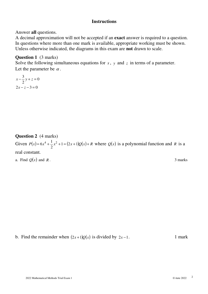#### **Instructions**

Answer **all** questions.

A decimal approximation will not be accepted if an **exact** answer is required to a question. In questions where more than one mark is available, appropriate working must be shown. Unless otherwise indicated, the diagrams in this exam are **not** drawn to scale.

#### **Question 1** (3 marks)

Solve the following simultaneous equations for  $x$ ,  $y$  and  $z$  in terms of a parameter. Let the parameter be  $\alpha$ .

$$
x - \frac{3}{2}y + z = 0
$$
  

$$
2x - z - 3 = 0
$$

**Question 2** (4 marks) Given  $P(x)=6x^4+\frac{1}{2}x^2+1=(2x+1)Q(x)+R$ 2  $6x^4 + \frac{1}{2}x^2 + 1 = (2x+1)Q(x) + R$  where  $Q(x)$  is a polynomial function and *R* is a real constant. a. Find  $Q(x)$  and *R*. 3 marks

b. Find the remainder when  $(2x+1)Q(x)$  is divided by  $2x-1$ . 1 mark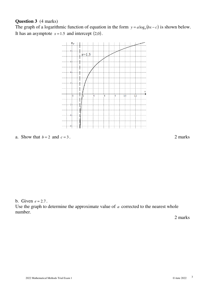#### **Question 3** (4 marks)

The graph of a logarithmic function of equation in the form  $y = a \log_e(bx - c)$  is shown below. It has an asymptote  $x = 1.5$  and intercept  $(2,0)$ .



a. Show that  $b = 2$  and  $c = 3$ . 2 marks

b. Given  $e \approx 2.7$ .

Use the graph to determine the approximate value of *a* corrected to the nearest whole number.

2 marks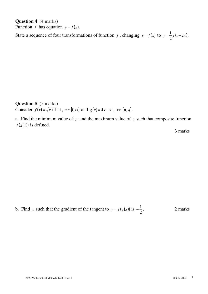**Question 4** (4 marks) Function *f* has equation  $y = f(x)$ .

State a sequence of four transformations of function *f*, changing  $y = f(x)$  to  $y = \frac{1}{2}f(1-2x)$ 2  $=\frac{1}{2}f(1-2x)$ .

**Question 5** (5 marks) Consider  $f(x) = \sqrt{x+1+1}$ ,  $x \in [1, \infty)$  and  $g(x) = 4x - x^2$ ,  $x \in [p, q]$ .

a. Find the minimum value of  $p$  and the maximum value of  $q$  such that composite function  $f(g(x))$  is defined.

3 marks

b. Find *x* such that the gradient of the tangent to  $y = f(g(x))$  is 2 1 2 marks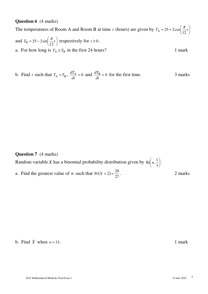#### **Question 6** (4 marks)

The temperatures of Room A and Room B at time *t* (hours) are given by  $T_A = 25 + 2\cos{\frac{\pi}{12}t}$ J  $\left(\frac{\pi}{\cdot}t\right)$ l  $T_{\rm A} = 25 + 2\cos\left(\frac{\pi}{12}t\right)$ and  $T_B = 25 - 2\sin \left| \frac{\pi}{12} t \right|$ J  $\left(\frac{\pi}{\cdot}t\right)$ l  $T_{\rm B} = 25 - 2\sin\left(\frac{\pi}{12}t\right)$  $\mathbf{r}_{\text{B}} = 25 - 2\sin\left(\frac{\pi}{12}t\right)$  respectively for  $t \ge 0$ . a. For how long is  $T_A \ge T_B$  in the first 24 hours? 1 mark

b. Find *t* such that 
$$
T_A = T_B
$$
,  $\frac{dT_A}{dt} > 0$  and  $\frac{dT_B}{dt} < 0$  for the first time.

#### **Question 7** (4 marks)

Random variable *X* has a binomial probability distribution given by Bi  $n, \frac{1}{2}$ J  $\left(n,\frac{1}{2}\right)$ l ſ 3  $\mathrm{Bi} \left( n, \frac{1}{2} \right)$ .

a. Find the greatest value of *n* such that  $Pr(X < 2)$ 27  $Pr(X < 2) > \frac{20}{27}$ . 2 marks

b. Find  $\overline{X}$  when  $n = 33$ . 1 mark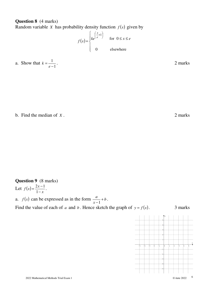### **Question 8** (4 marks)

Random variable *X* has probability density function  $f(x)$  given by

$$
f(x) = \begin{cases} ke^{\left(\frac{x}{e}+1\right)} & \text{for } 0 \le x \le e \\ 0 & \text{elsewhere} \end{cases}
$$

a. Show that 
$$
k = \frac{1}{e-1}
$$
. 2 marks

b. Find the median of *X*. 2 marks

#### **Question 9** (8 marks) Let  $f(x)$ *x*  $f(x) = \frac{2x}{x}$ −  $=\frac{2x-1}{2}$ 1  $\frac{2x-1}{1}$ .

a.  $f(x)$  can be expressed as in the form  $\frac{a}{x} + b$ *x*  $\frac{a}{\sqrt{a}}$ −1 . Find the value of each of *a* and *b*. Hence sketch the graph of  $y = f(x)$ . 3 marks